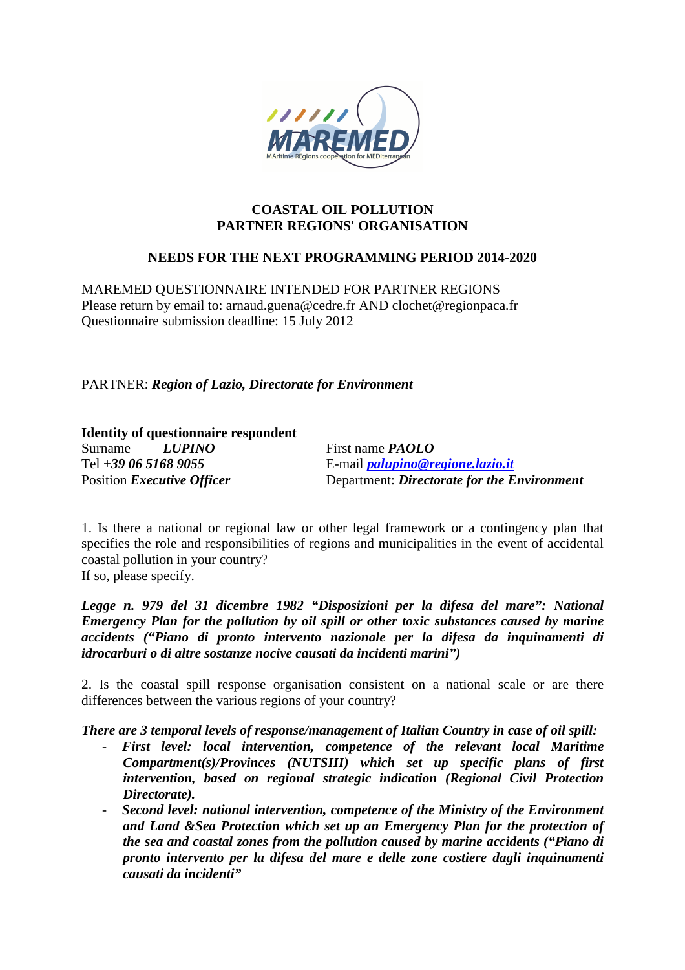

### **COASTAL OIL POLLUTION PARTNER REGIONS' ORGANISATION**

# **NEEDS FOR THE NEXT PROGRAMMING PERIOD 2014-2020**

MAREMED QUESTIONNAIRE INTENDED FOR PARTNER REGIONS Please return by email to: arnaud.guena@cedre.fr AND clochet@regionpaca.fr Questionnaire submission deadline: 15 July 2012

PARTNER: *Region of Lazio, Directorate for Environment*

## **Identity of questionnaire respondent**

Surname *LUPINO* First name *PAOLO*

Tel *+39 06 5168 9055* E-mail *palupino@regione.lazio.it* Position *Executive Officer* Department: *Directorate for the Environment* 

1. Is there a national or regional law or other legal framework or a contingency plan that specifies the role and responsibilities of regions and municipalities in the event of accidental coastal pollution in your country?

If so, please specify.

*Legge n. 979 del 31 dicembre 1982 "Disposizioni per la difesa del mare": National Emergency Plan for the pollution by oil spill or other toxic substances caused by marine accidents ("Piano di pronto intervento nazionale per la difesa da inquinamenti di idrocarburi o di altre sostanze nocive causati da incidenti marini")* 

2. Is the coastal spill response organisation consistent on a national scale or are there differences between the various regions of your country?

*There are 3 temporal levels of response/management of Italian Country in case of oil spill:* 

- First level: local intervention, competence of the relevant local Maritime *Compartment(s)/Provinces (NUTSIII) which set up specific plans of first intervention, based on regional strategic indication (Regional Civil Protection Directorate).*
- *Second level: national intervention, competence of the Ministry of the Environment and Land &Sea Protection which set up an Emergency Plan for the protection of the sea and coastal zones from the pollution caused by marine accidents ("Piano di pronto intervento per la difesa del mare e delle zone costiere dagli inquinamenti causati da incidenti"*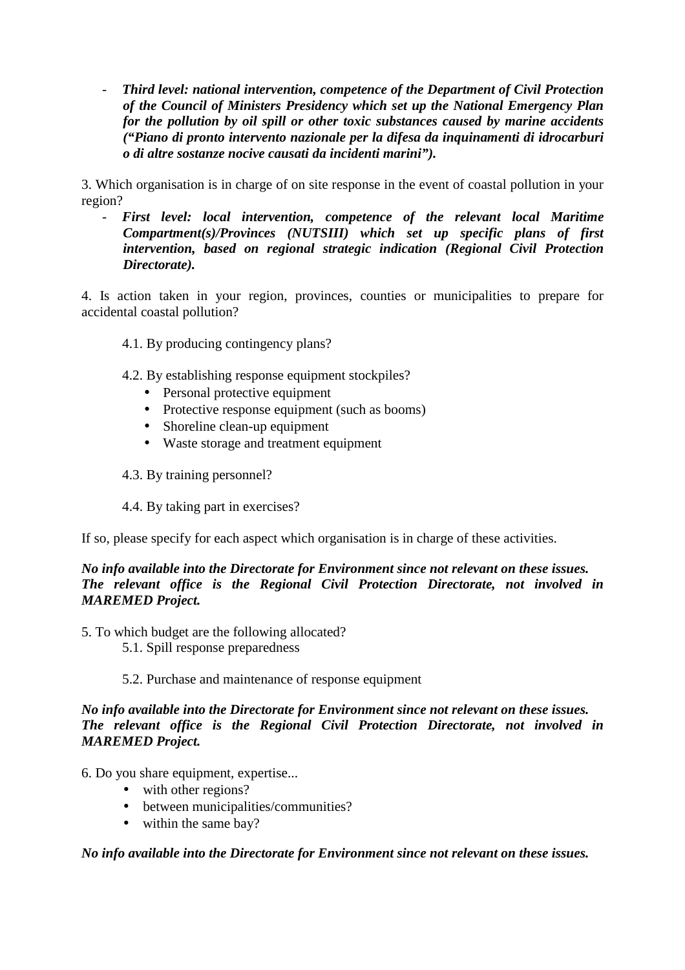- *Third level: national intervention, competence of the Department of Civil Protection of the Council of Ministers Presidency which set up the National Emergency Plan for the pollution by oil spill or other toxic substances caused by marine accidents ("Piano di pronto intervento nazionale per la difesa da inquinamenti di idrocarburi o di altre sostanze nocive causati da incidenti marini").* 

3. Which organisation is in charge of on site response in the event of coastal pollution in your region?

- *First level: local intervention, competence of the relevant local Maritime Compartment(s)/Provinces (NUTSIII) which set up specific plans of first intervention, based on regional strategic indication (Regional Civil Protection Directorate).* 

4. Is action taken in your region, provinces, counties or municipalities to prepare for accidental coastal pollution?

- 4.1. By producing contingency plans?
- 4.2. By establishing response equipment stockpiles?
	- Personal protective equipment
	- Protective response equipment (such as booms)
	- Shoreline clean-up equipment
	- Waste storage and treatment equipment
- 4.3. By training personnel?
- 4.4. By taking part in exercises?

If so, please specify for each aspect which organisation is in charge of these activities.

# *No info available into the Directorate for Environment since not relevant on these issues. The relevant office is the Regional Civil Protection Directorate, not involved in MAREMED Project.*

- 5. To which budget are the following allocated?
	- 5.1. Spill response preparedness
	- 5.2. Purchase and maintenance of response equipment

*No info available into the Directorate for Environment since not relevant on these issues. The relevant office is the Regional Civil Protection Directorate, not involved in MAREMED Project.* 

6. Do you share equipment, expertise...

- with other regions?
- between municipalities/communities?
- within the same bay?

*No info available into the Directorate for Environment since not relevant on these issues.*